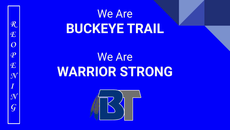# We Are **BUCKEYE TRAIL**

# We Are **WARRIOR STRONG**